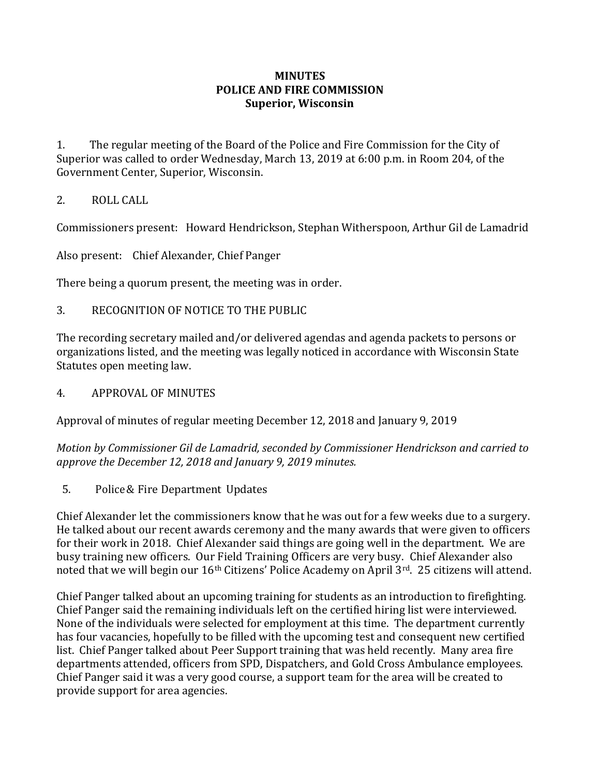## **MINUTES POLICE AND FIRE COMMISSION Superior, Wisconsin**

1. The regular meeting of the Board of the Police and Fire Commission for the City of Superior was called to order Wednesday, March 13, 2019 at 6:00 p.m. in Room 204, of the Government Center, Superior, Wisconsin.

## 2. ROLL CALL

Commissioners present: Howard Hendrickson, Stephan Witherspoon, Arthur Gil de Lamadrid

Also present: Chief Alexander, Chief Panger

There being a quorum present, the meeting was in order.

3. RECOGNITION OF NOTICE TO THE PUBLIC

The recording secretary mailed and/or delivered agendas and agenda packets to persons or organizations listed, and the meeting was legally noticed in accordance with Wisconsin State Statutes open meeting law.

4. APPROVAL OF MINUTES

Approval of minutes of regular meeting December 12, 2018 and January 9, 2019

*Motion by Commissioner Gil de Lamadrid, seconded by Commissioner Hendrickson and carried to approve the December 12, 2018 and January 9, 2019 minutes.*

5. Police& Fire Department Updates

Chief Alexander let the commissioners know that he was out for a few weeks due to a surgery. He talked about our recent awards ceremony and the many awards that were given to officers for their work in 2018. Chief Alexander said things are going well in the department. We are busy training new officers. Our Field Training Officers are very busy. Chief Alexander also noted that we will begin our 16<sup>th</sup> Citizens' Police Academy on April 3<sup>rd</sup>. 25 citizens will attend.

Chief Panger talked about an upcoming training for students as an introduction to firefighting. Chief Panger said the remaining individuals left on the certified hiring list were interviewed. None of the individuals were selected for employment at this time. The department currently has four vacancies, hopefully to be filled with the upcoming test and consequent new certified list. Chief Panger talked about Peer Support training that was held recently. Many area fire departments attended, officers from SPD, Dispatchers, and Gold Cross Ambulance employees. Chief Panger said it was a very good course, a support team for the area will be created to provide support for area agencies.